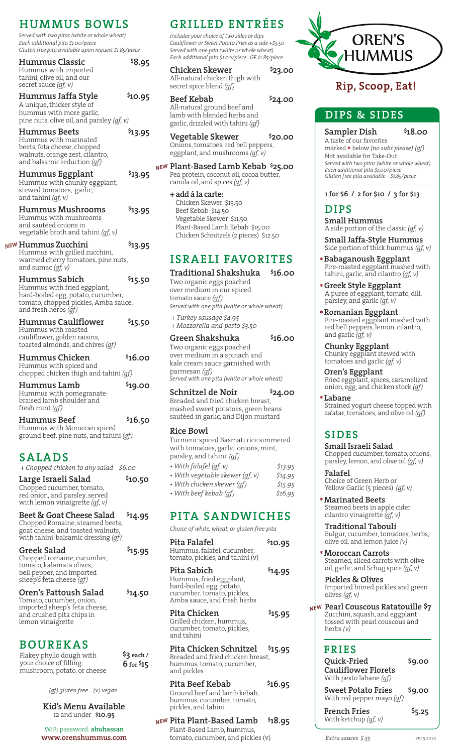*Served with two pitas (white or whole wheat) Each additional pita \$1.00/piece Gluten free pita available upon request \$1.85/piece*

| <b>Hummus Classic</b><br>Hummus with imported<br>tahini, olive oil, and our<br>secret sauce $(gf, v)$                                              | \$8.95               |
|----------------------------------------------------------------------------------------------------------------------------------------------------|----------------------|
| Hummus Jaffa Style<br>A unique, thicker style of<br>hummus with more garlic,<br>pine nuts, olive oil, and parsley (gf, v)                          | \$10.95              |
| <b>Hummus Beets</b><br>Hummus with marinated<br>beets, feta cheese, chopped<br>walnuts, orange zest, cilantro,<br>and balsamic reduction (qf)      | \$13.95              |
| Hummus Eggplant<br>Hummus with chunky eggplant,<br>stewed tomatoes, garlic,<br>and tahini (gf, v)                                                  | <sup>\$</sup> 13.95  |
| Hummus Mushrooms<br>Hummus with mushrooms<br>and sautéed onions in<br>vegetable broth and tahini (qf, v)                                           | <sup>\$</sup> 13.95  |
| Hummus Zucchini<br>Hummus with grilled zucchini,<br>warmed cherry tomatoes, pine nuts,<br>and sumac $(gf, v)$                                      | <sup>\$</sup> 13.95  |
| Hummus Sabich<br>Hummus with fried eggplant,<br>hard-boiled egg, potato, cucumber,<br>tomato, chopped pickles, Amba sauce,<br>and fresh herbs (gf) | <sup>\$</sup> 15.50  |
| Hummus Cauliflower<br>Hummus with roasted<br>cauliflower, golden raisins,<br>toasted almonds, and chives (gf)                                      | <sup>\$</sup> 15.50  |
| Hummus Chicken<br>Hummus with spiced and<br>chopped chicken thigh and tahini (qf)                                                                  | \$16.00              |
| Hummus Lamb<br>Hummus with pomegranate-<br>braised lamb shoulder and<br>fresh mint ( <i>qf</i> )                                                   | \$19.00              |
| Hummus Beef<br>Hummus with Moroccan spiced<br>ground beef, pine nuts, and tahini (gf)                                                              | <sup>\$</sup> 16.50  |
| SALADS<br>+ Chopped chicken to any salad                                                                                                           | <i><b>\$6.00</b></i> |
| Large Israeli Salad<br>Chopped cucumber, tomato,<br>red onion, and parsley, served<br>with lemon vinaigrette $(qf, v)$                             | \$10.50              |
| Beet & Goat Cheese Salad<br>Chopped Romaine, steamed beets,<br>goat cheese, and toasted walnuts,                                                   | \$14.95              |

*NEW*

| Oren's Fattoush Salad                                                                                                                 | \$14.50 |
|---------------------------------------------------------------------------------------------------------------------------------------|---------|
| <b>Greek Salad</b><br>Chopped romaine, cucumber,<br>tomato, kalamata olives,<br>bell pepper, and imported<br>sheep's feta cheese (qf) | \$15.95 |
| with tahini-balsamic dressing (qf)                                                                                                    |         |

Tomato, cucumber, onion, imported sheep's feta cheese, and crushed pita chips in lemon vinaigrette

# **BOUREKAS**

| Flakey phyllo dough with    | $$3$ each /   |
|-----------------------------|---------------|
| your choice of filling:     | $6$ for $$15$ |
| mushroom, potato, or cheese |               |

*(gf) gluten free (v) vegan*

#### **Kid's Menu Available** 12 and under **\$10.95**

WiFi password: **abuhassan www.orenshummus.com**

# **HUMMUS BOWLS GRILLED ENTRÉES**

*Includes your choice of two sides or dips Cauliflower or Sweet Potato Fries as a side +\$3.50 Served with one pita (white or whole wheat) Each additional pita \$1.00/piece GF \$1.85/piece*

**Chicken Skewer \$23.00** All-natural chicken thigh with secret spice blend *(gf)*

**Beef Kebab \$24.00** All-natural ground beef and lamb with blended herbs and garlic, drizzled with tahini *(gf)*

**Vegetable Skewer \$20.00** Onions, tomatoes, red bell peppers, eggplant, and mushrooms *(gf, v)* 

**Plant-Based Lamb Kebab \$25.00** *NEW* Pea protein, coconut oil, cocoa butter, canola oil, and spices *(gf, v)* 

**+ add á la carte:** Chicken Skewer \$13.50 Beef Kebab \$14.50 Vegetable Skewer \$11.50 Plant-Based Lamb Kebab \$15.00 Chicken Schnitzels (2 pieces) \$12.50

# **ISRAELI FAVORITES**

## **Traditional Shakshuka \$16.00**

Two organic eggs poached over medium in our spiced tomato sauce *(gf) Served with one pita (white or whole wheat)*

*+ Turkey sausage \$4.95 + Mozzarella and pesto \$3.50*

## **Green Shakshuka \$16.00**

Two organic eggs poached over medium in a spinach and kale cream sauce garnished with parmesan *(gf) Served with one pita (white or whole wheat)*

**Schnitzel de Noir \$24.00**

Breaded and fried chicken breast, mashed sweet potatoes, green beans sautéed in garlic, and Dijon mustard

## **Rice Bowl**

Turmeric spiced Basmati rice simmered with tomatoes, garlic, onions, mint, parsley, and tahini. *(gf) • With falafel (gf, v) \$13.95 • With vegetable skewer (gf, v) \$14.95*

|                            |  | .       |
|----------------------------|--|---------|
| • With chicken skewer (qf) |  | \$15.95 |
| • With beef kebab (qf)     |  | \$16.95 |
|                            |  |         |

# **PITA SANDWICHES**

*Choice of white, wheat, or gluten free pita*

| Pita Falafel<br>Hummus, falafel, cucumber,<br>tomato, pickles, and tahini (v)                                                   | \$10.95             |
|---------------------------------------------------------------------------------------------------------------------------------|---------------------|
| Pita Sabich<br>Hummus, fried eggplant,<br>hard-boiled egg, potato,<br>cucumber, tomato, pickles,<br>Amba sauce, and fresh herbs | <sup>\$</sup> 14.95 |
| Pita Chicken<br>Grilled chicken, hummus,<br>cucumber, tomato, pickles,<br>and tahini                                            | \$15.95             |
| Pita Chicken Schnitzel<br>Breaded and fried chicken breast,<br>hummus, tomato, cucumber,<br>and pickles                         | \$15.95             |
| Pita Beef Kebab<br>Ground beef and lamb kebab,                                                                                  | \$16.95             |

# hummus, cucumber, tomato, pickles, and tahini

#### **Pita Plant-Based Lamb \$18.95** *NEW* Plant-Based Lamb, hummus, tomato, cucumber, and pickles (v)



# Rip, Scoop, Eat!

# **DIPS & SIDES**

## **Sampler Dish \$18.00**

A taste of our favorites marked **\*** below *(no subs please) (gf)* Not available for Take-Out *Served with two pitas (white or whole wheat) Each additional pita \$1.00/piece Gluten free pita available – \$1.85/piece* 

#### **1 for \$6 / 2 for \$10 / 3 for \$13**

# **DIPS**

**Small Hummus** A side portion of the classic *(gf, v)*

**Small Jaffa-Style Hummus** Side portion of thick hummus *(gf, v)* 

- **\*Babaganoush Eggplant** Fire-roasted eggplant mashed with tahini, garlic, and cilantro *(gf, v)*
- **\*Greek Style Eggplant** A puree of eggplant, tomato, dill, parsley, and garlic *(gf, v)*
- **\*Romanian Eggplant** Fire-roasted eggplant mashed with red bell peppers, lemon, cilantro, and garlic *(gf, v)*

**Chunky Eggplant** Chunky eggplant stewed with tomatoes and garlic *(gf, v)* 

**Oren's Eggplant** Fried eggplant, spices, caramelized onion, egg, and chicken stock *(gf)* 

**\* Labane** Strained yogurt cheese topped with za'atar, tomatoes, and olive oil *(gf)*

# **SIDES**

**Small Israeli Salad** Chopped cucumber, tomato, onions, parsley, lemon, and olive oil *(gf, v)* 

**Falafel** Choice of Green Herb or Yellow Garlic (5 pieces) *(gf, v)*

**\*Marinated Beets** Steamed beets in apple cider cilantro vinaigrette *(gf, v)* 

**Traditional Tabouli** Bulgur, cucumber, tomatoes, herbs, olive oil, and lemon juice *(v)* 

**\*Moroccan Carrots** Steamed, sliced carrots with olive oil, garlic, and Schug spice *(gf, v)* 

**Pickles & Olives** Imported brined pickles and green olives *(gf, v)* 

**Pearl Couscous Ratatouille \$7**  *NEW*Zucchini, squash, and eggplant tossed with pearl couscous and herbs *(v)* 

# **FRIES**

| Quick-Fried<br><b>Cauliflower Florets</b> | \$9.00 |
|-------------------------------------------|--------|
| With pesto labane (qf)                    |        |
| <b>Sweet Potato Fries</b>                 | \$9.00 |

With red pepper mayo *(gf)* **French Fries \$5.25** With ketchup *(gf, v)*